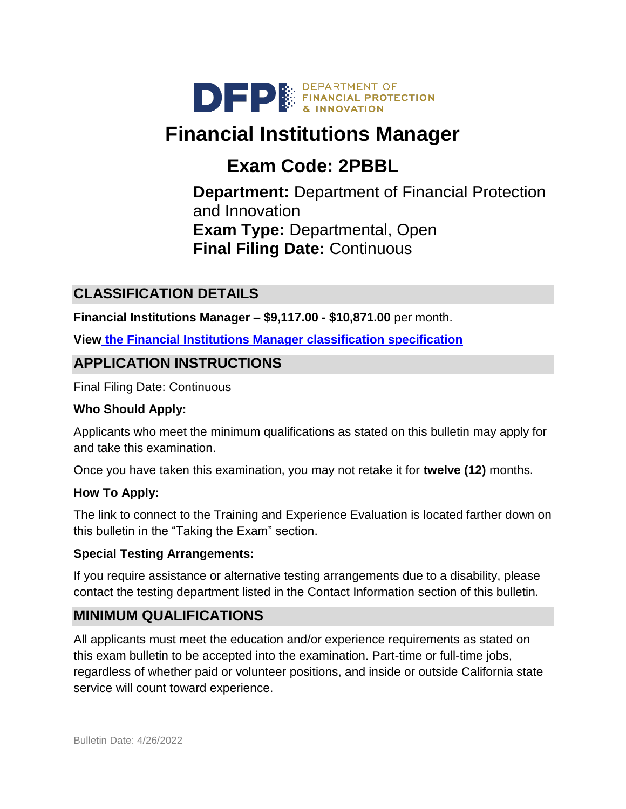

# **Financial Institutions Manager**

# **Exam Code: 2PBBL**

**Department:** Department of Financial Protection and Innovation **Exam Type:** Departmental, Open **Final Filing Date:** Continuous

# **CLASSIFICATION DETAILS**

**Financial Institutions Manager – \$9,117.00 - \$10,871.00** per month.

**View [the Financial Institutions Manager](https://www.calhr.ca.gov/state-hr-professionals/Pages/4101.aspx) classification specification**

## **APPLICATION INSTRUCTIONS**

Final Filing Date: Continuous

#### **Who Should Apply:**

Applicants who meet the minimum qualifications as stated on this bulletin may apply for and take this examination.

Once you have taken this examination, you may not retake it for **twelve (12)** months.

#### **How To Apply:**

The link to connect to the Training and Experience Evaluation is located farther down on this bulletin in the "Taking the Exam" section.

#### **Special Testing Arrangements:**

If you require assistance or alternative testing arrangements due to a disability, please contact the testing department listed in the Contact Information section of this bulletin.

## **MINIMUM QUALIFICATIONS**

All applicants must meet the education and/or experience requirements as stated on this exam bulletin to be accepted into the examination. Part-time or full-time jobs, regardless of whether paid or volunteer positions, and inside or outside California state service will count toward experience.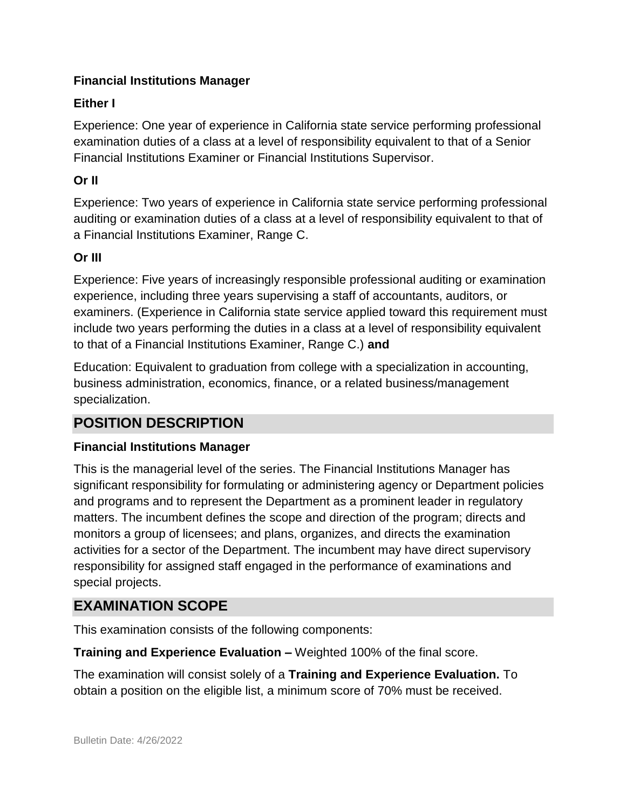#### **Financial Institutions Manager**

#### **Either I**

Experience: One year of experience in California state service performing professional examination duties of a class at a level of responsibility equivalent to that of a Senior Financial Institutions Examiner or Financial Institutions Supervisor.

#### **Or II**

Experience: Two years of experience in California state service performing professional auditing or examination duties of a class at a level of responsibility equivalent to that of a Financial Institutions Examiner, Range C.

#### **Or III**

Experience: Five years of increasingly responsible professional auditing or examination experience, including three years supervising a staff of accountants, auditors, or examiners. (Experience in California state service applied toward this requirement must include two years performing the duties in a class at a level of responsibility equivalent to that of a Financial Institutions Examiner, Range C.) **and**

Education: Equivalent to graduation from college with a specialization in accounting, business administration, economics, finance, or a related business/management specialization.

## **POSITION DESCRIPTION**

#### **Financial Institutions Manager**

This is the managerial level of the series. The Financial Institutions Manager has significant responsibility for formulating or administering agency or Department policies and programs and to represent the Department as a prominent leader in regulatory matters. The incumbent defines the scope and direction of the program; directs and monitors a group of licensees; and plans, organizes, and directs the examination activities for a sector of the Department. The incumbent may have direct supervisory responsibility for assigned staff engaged in the performance of examinations and special projects.

## **EXAMINATION SCOPE**

This examination consists of the following components:

**Training and Experience Evaluation –** Weighted 100% of the final score.

The examination will consist solely of a **Training and Experience Evaluation.** To obtain a position on the eligible list, a minimum score of 70% must be received.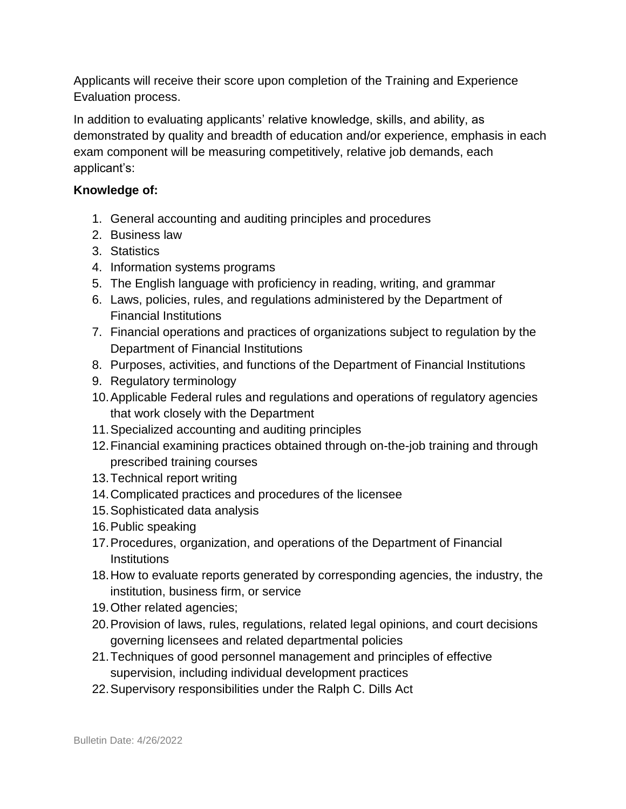Applicants will receive their score upon completion of the Training and Experience Evaluation process.

In addition to evaluating applicants' relative knowledge, skills, and ability, as demonstrated by quality and breadth of education and/or experience, emphasis in each exam component will be measuring competitively, relative job demands, each applicant's:

#### **Knowledge of:**

- 1. General accounting and auditing principles and procedures
- 2. Business law
- 3. Statistics
- 4. Information systems programs
- 5. The English language with proficiency in reading, writing, and grammar
- 6. Laws, policies, rules, and regulations administered by the Department of Financial Institutions
- 7. Financial operations and practices of organizations subject to regulation by the Department of Financial Institutions
- 8. Purposes, activities, and functions of the Department of Financial Institutions
- 9. Regulatory terminology
- 10.Applicable Federal rules and regulations and operations of regulatory agencies that work closely with the Department
- 11.Specialized accounting and auditing principles
- 12.Financial examining practices obtained through on-the-job training and through prescribed training courses
- 13.Technical report writing
- 14.Complicated practices and procedures of the licensee
- 15.Sophisticated data analysis
- 16.Public speaking
- 17.Procedures, organization, and operations of the Department of Financial **Institutions**
- 18.How to evaluate reports generated by corresponding agencies, the industry, the institution, business firm, or service
- 19.Other related agencies;
- 20.Provision of laws, rules, regulations, related legal opinions, and court decisions governing licensees and related departmental policies
- 21.Techniques of good personnel management and principles of effective supervision, including individual development practices
- 22.Supervisory responsibilities under the Ralph C. Dills Act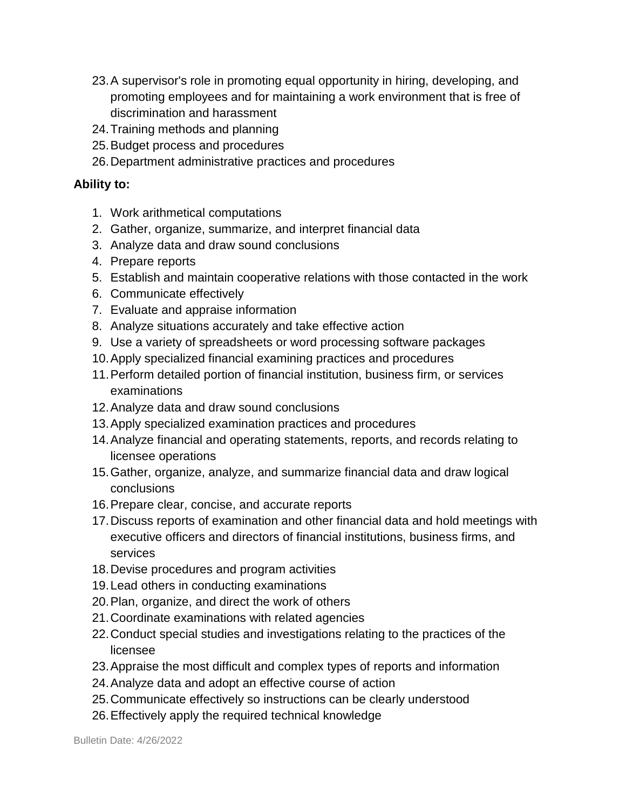- 23.A supervisor's role in promoting equal opportunity in hiring, developing, and promoting employees and for maintaining a work environment that is free of discrimination and harassment
- 24.Training methods and planning
- 25.Budget process and procedures
- 26.Department administrative practices and procedures

#### **Ability to:**

- 1. Work arithmetical computations
- 2. Gather, organize, summarize, and interpret financial data
- 3. Analyze data and draw sound conclusions
- 4. Prepare reports
- 5. Establish and maintain cooperative relations with those contacted in the work
- 6. Communicate effectively
- 7. Evaluate and appraise information
- 8. Analyze situations accurately and take effective action
- 9. Use a variety of spreadsheets or word processing software packages
- 10.Apply specialized financial examining practices and procedures
- 11.Perform detailed portion of financial institution, business firm, or services examinations
- 12.Analyze data and draw sound conclusions
- 13.Apply specialized examination practices and procedures
- 14.Analyze financial and operating statements, reports, and records relating to licensee operations
- 15.Gather, organize, analyze, and summarize financial data and draw logical conclusions
- 16.Prepare clear, concise, and accurate reports
- 17.Discuss reports of examination and other financial data and hold meetings with executive officers and directors of financial institutions, business firms, and services
- 18.Devise procedures and program activities
- 19.Lead others in conducting examinations
- 20.Plan, organize, and direct the work of others
- 21.Coordinate examinations with related agencies
- 22.Conduct special studies and investigations relating to the practices of the licensee
- 23.Appraise the most difficult and complex types of reports and information
- 24.Analyze data and adopt an effective course of action
- 25.Communicate effectively so instructions can be clearly understood
- 26.Effectively apply the required technical knowledge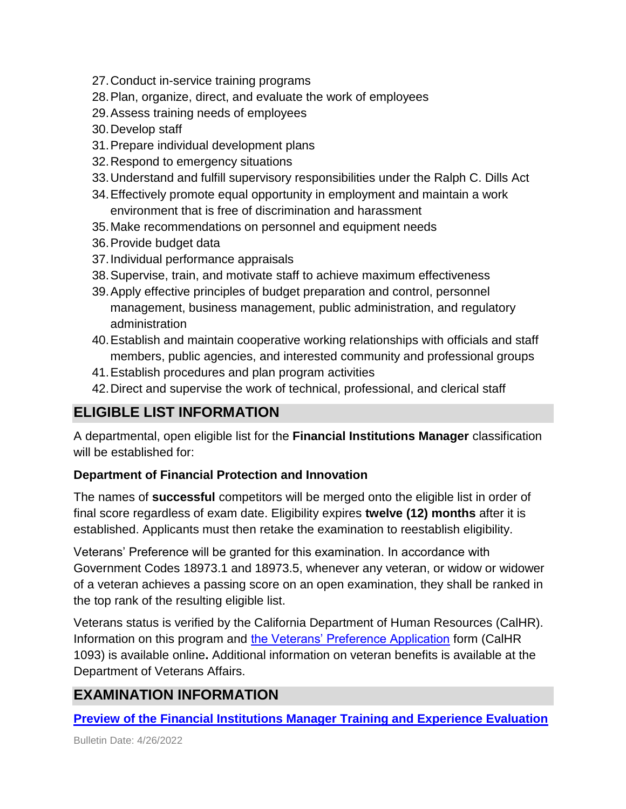- 27.Conduct in-service training programs
- 28.Plan, organize, direct, and evaluate the work of employees
- 29.Assess training needs of employees
- 30.Develop staff
- 31.Prepare individual development plans
- 32.Respond to emergency situations
- 33.Understand and fulfill supervisory responsibilities under the Ralph C. Dills Act
- 34.Effectively promote equal opportunity in employment and maintain a work environment that is free of discrimination and harassment
- 35.Make recommendations on personnel and equipment needs
- 36.Provide budget data
- 37.Individual performance appraisals
- 38.Supervise, train, and motivate staff to achieve maximum effectiveness
- 39.Apply effective principles of budget preparation and control, personnel management, business management, public administration, and regulatory administration
- 40.Establish and maintain cooperative working relationships with officials and staff members, public agencies, and interested community and professional groups
- 41.Establish procedures and plan program activities
- 42.Direct and supervise the work of technical, professional, and clerical staff

## **ELIGIBLE LIST INFORMATION**

A departmental, open eligible list for the **Financial Institutions Manager** classification will be established for:

#### **Department of Financial Protection and Innovation**

The names of **successful** competitors will be merged onto the eligible list in order of final score regardless of exam date. Eligibility expires **twelve (12) months** after it is established. Applicants must then retake the examination to reestablish eligibility.

Veterans' Preference will be granted for this examination. In accordance with Government Codes 18973.1 and 18973.5, whenever any veteran, or widow or widower of a veteran achieves a passing score on an open examination, they shall be ranked in the top rank of the resulting eligible list.

Veterans status is verified by the California Department of Human Resources (CalHR). Information on this program and [the Veterans' Preference Application](https://www.jobs.ca.gov/CalHRPublic/Landing/Jobs/VeteransInformation.aspx) form (CalHR 1093) is available online**.** Additional information on veteran benefits is available at the Department of Veterans Affairs.

# **EXAMINATION INFORMATION**

#### **Preview of the Financial Institutions Manager [Training and Experience Evaluation](https://jobs.ca.gov/jobsgen/2PBBLa.pdf)**

Bulletin Date: 4/26/2022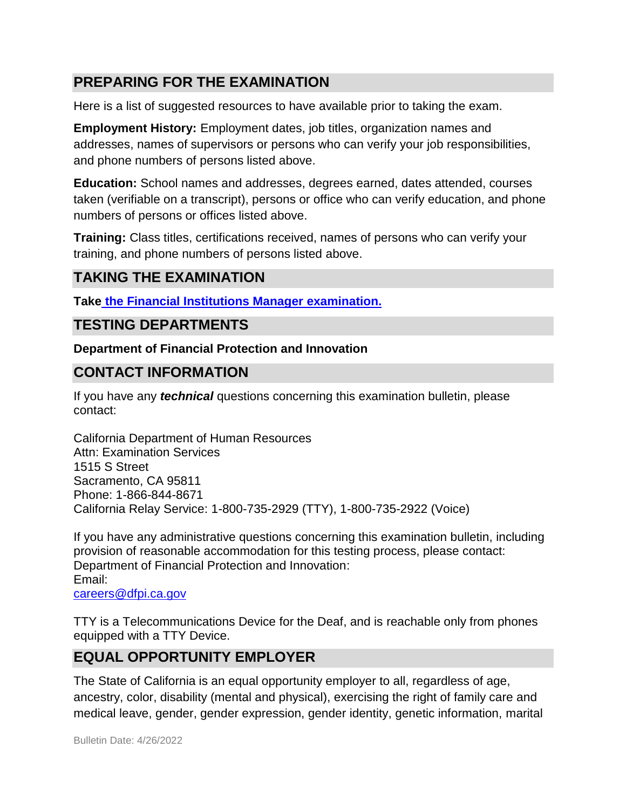## **PREPARING FOR THE EXAMINATION**

Here is a list of suggested resources to have available prior to taking the exam.

**Employment History:** Employment dates, job titles, organization names and addresses, names of supervisors or persons who can verify your job responsibilities, and phone numbers of persons listed above.

**Education:** School names and addresses, degrees earned, dates attended, courses taken (verifiable on a transcript), persons or office who can verify education, and phone numbers of persons or offices listed above.

**Training:** Class titles, certifications received, names of persons who can verify your training, and phone numbers of persons listed above.

## **TAKING THE EXAMINATION**

**Take [the Financial Institutions Manager](https://www.jobs.ca.gov/CalHRPublic/Login.aspx?ExamId=2PBBL) examination.**

### **TESTING DEPARTMENTS**

**Department of Financial Protection and Innovation**

### **CONTACT INFORMATION**

If you have any *technical* questions concerning this examination bulletin, please contact:

California Department of Human Resources Attn: Examination Services 1515 S Street Sacramento, CA 95811 Phone: 1-866-844-8671 California Relay Service: 1-800-735-2929 (TTY), 1-800-735-2922 (Voice)

If you have any administrative questions concerning this examination bulletin, including provision of reasonable accommodation for this testing process, please contact: Department of Financial Protection and Innovation: Email: [careers@dfpi.ca.gov](mailto:careers@dfpi.ca.gov)

TTY is a Telecommunications Device for the Deaf, and is reachable only from phones equipped with a TTY Device.

## **EQUAL OPPORTUNITY EMPLOYER**

The State of California is an equal opportunity employer to all, regardless of age, ancestry, color, disability (mental and physical), exercising the right of family care and medical leave, gender, gender expression, gender identity, genetic information, marital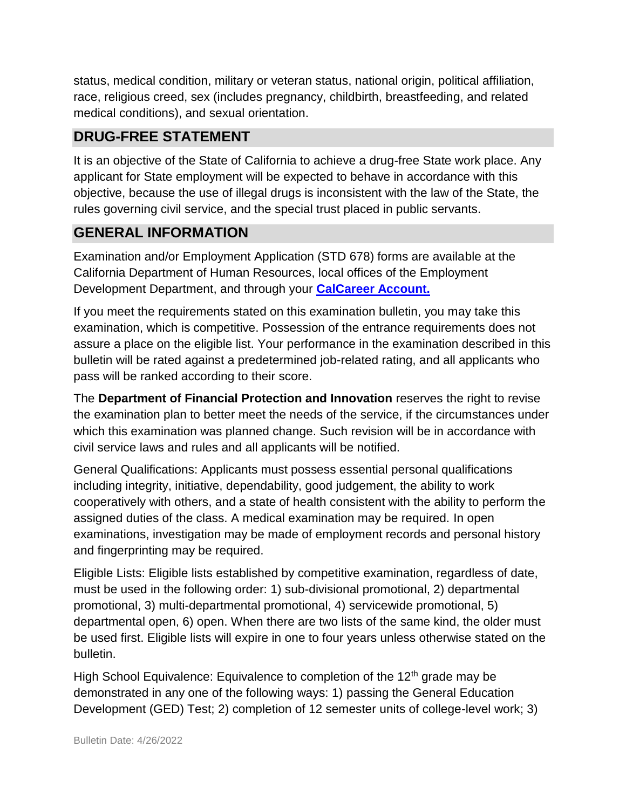status, medical condition, military or veteran status, national origin, political affiliation, race, religious creed, sex (includes pregnancy, childbirth, breastfeeding, and related medical conditions), and sexual orientation.

## **DRUG-FREE STATEMENT**

It is an objective of the State of California to achieve a drug-free State work place. Any applicant for State employment will be expected to behave in accordance with this objective, because the use of illegal drugs is inconsistent with the law of the State, the rules governing civil service, and the special trust placed in public servants.

## **GENERAL INFORMATION**

Examination and/or Employment Application (STD 678) forms are available at the California Department of Human Resources, local offices of the Employment Development Department, and through your **[CalCareer Account.](http://www.jobs.ca.gov/)**

If you meet the requirements stated on this examination bulletin, you may take this examination, which is competitive. Possession of the entrance requirements does not assure a place on the eligible list. Your performance in the examination described in this bulletin will be rated against a predetermined job-related rating, and all applicants who pass will be ranked according to their score.

The **Department of Financial Protection and Innovation** reserves the right to revise the examination plan to better meet the needs of the service, if the circumstances under which this examination was planned change. Such revision will be in accordance with civil service laws and rules and all applicants will be notified.

General Qualifications: Applicants must possess essential personal qualifications including integrity, initiative, dependability, good judgement, the ability to work cooperatively with others, and a state of health consistent with the ability to perform the assigned duties of the class. A medical examination may be required. In open examinations, investigation may be made of employment records and personal history and fingerprinting may be required.

Eligible Lists: Eligible lists established by competitive examination, regardless of date, must be used in the following order: 1) sub-divisional promotional, 2) departmental promotional, 3) multi-departmental promotional, 4) servicewide promotional, 5) departmental open, 6) open. When there are two lists of the same kind, the older must be used first. Eligible lists will expire in one to four years unless otherwise stated on the bulletin.

High School Equivalence: Equivalence to completion of the  $12<sup>th</sup>$  grade may be demonstrated in any one of the following ways: 1) passing the General Education Development (GED) Test; 2) completion of 12 semester units of college-level work; 3)